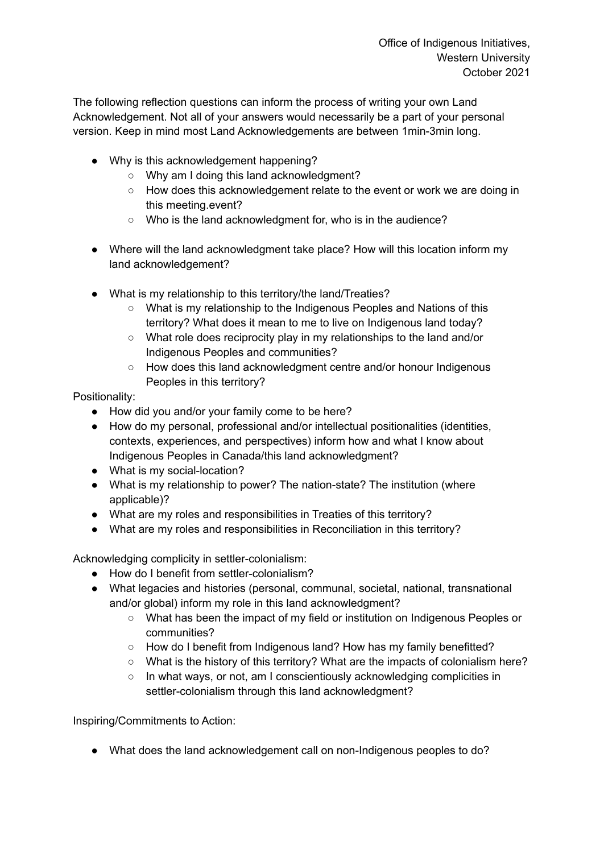The following reflection questions can inform the process of writing your own Land Acknowledgement. Not all of your answers would necessarily be a part of your personal version. Keep in mind most Land Acknowledgements are between 1min-3min long.

- Why is this acknowledgement happening?
	- Why am I doing this land acknowledgment?
	- How does this acknowledgement relate to the event or work we are doing in this meeting.event?
	- Who is the land acknowledgment for, who is in the audience?
- Where will the land acknowledgment take place? How will this location inform my land acknowledgement?
- What is my relationship to this territory/the land/Treaties?
	- What is my relationship to the Indigenous Peoples and Nations of this territory? What does it mean to me to live on Indigenous land today?
	- What role does reciprocity play in my relationships to the land and/or Indigenous Peoples and communities?
	- How does this land acknowledgment centre and/or honour Indigenous Peoples in this territory?

Positionality:

- How did you and/or your family come to be here?
- How do my personal, professional and/or intellectual positionalities (identities, contexts, experiences, and perspectives) inform how and what I know about Indigenous Peoples in Canada/this land acknowledgment?
- What is my social-location?
- What is my relationship to power? The nation-state? The institution (where applicable)?
- What are my roles and responsibilities in Treaties of this territory?
- What are my roles and responsibilities in Reconciliation in this territory?

Acknowledging complicity in settler-colonialism:

- How do I benefit from settler-colonialism?
- What legacies and histories (personal, communal, societal, national, transnational and/or global) inform my role in this land acknowledgment?
	- What has been the impact of my field or institution on Indigenous Peoples or communities?
	- How do I benefit from Indigenous land? How has my family benefitted?
	- What is the history of this territory? What are the impacts of colonialism here?
	- In what ways, or not, am I conscientiously acknowledging complicities in settler-colonialism through this land acknowledgment?

Inspiring/Commitments to Action:

● What does the land acknowledgement call on non-Indigenous peoples to do?